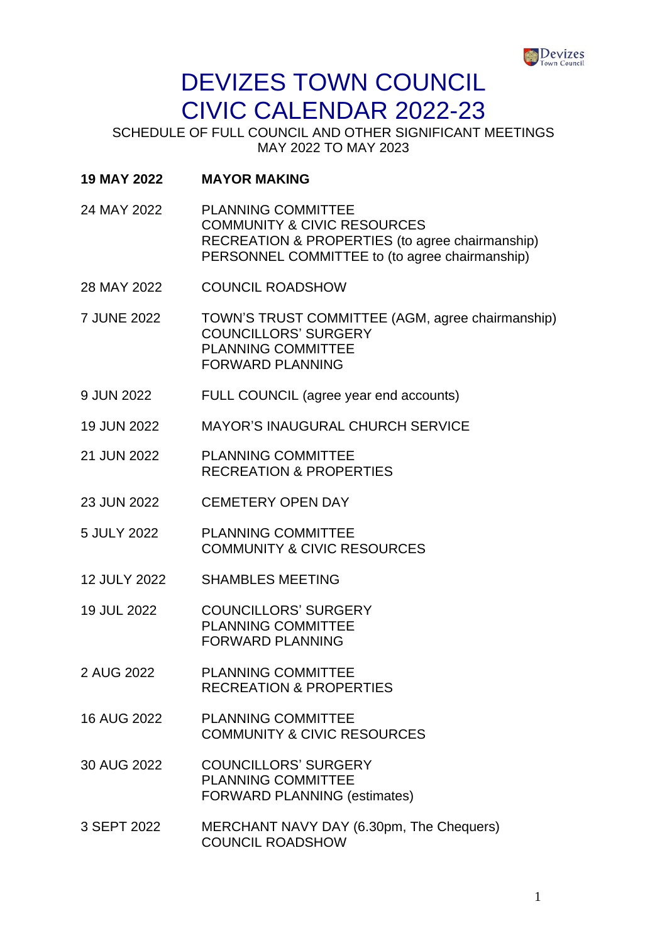

SCHEDULE OF FULL COUNCIL AND OTHER SIGNIFICANT MEETINGS MAY 2022 TO MAY 2023

- **19 MAY 2022 MAYOR MAKING**
- 24 MAY 2022 PLANNING COMMITTEE COMMUNITY & CIVIC RESOURCES RECREATION & PROPERTIES (to agree chairmanship) PERSONNEL COMMITTEE to (to agree chairmanship)
- 28 MAY 2022 COUNCIL ROADSHOW
- 7 JUNE 2022 TOWN'S TRUST COMMITTEE (AGM, agree chairmanship) COUNCILLORS' SURGERY PLANNING COMMITTEE FORWARD PLANNING
- 9 JUN 2022 FULL COUNCIL (agree year end accounts)
- 19 JUN 2022 MAYOR'S INAUGURAL CHURCH SERVICE
- 21 JUN 2022 PLANNING COMMITTEE RECREATION & PROPERTIES
- 23 JUN 2022 CEMETERY OPEN DAY
- 5 JULY 2022 PLANNING COMMITTEE COMMUNITY & CIVIC RESOURCES
- 12 JULY 2022 SHAMBLES MEETING
- 19 JUL 2022 COUNCILLORS' SURGERY PLANNING COMMITTEE FORWARD PLANNING
- 2 AUG 2022 PLANNING COMMITTEE RECREATION & PROPERTIES
- 16 AUG 2022 PLANNING COMMITTEE COMMUNITY & CIVIC RESOURCES
- 30 AUG 2022 COUNCILLORS' SURGERY PLANNING COMMITTEE FORWARD PLANNING (estimates)
- 3 SEPT 2022 MERCHANT NAVY DAY (6.30pm, The Chequers) COUNCIL ROADSHOW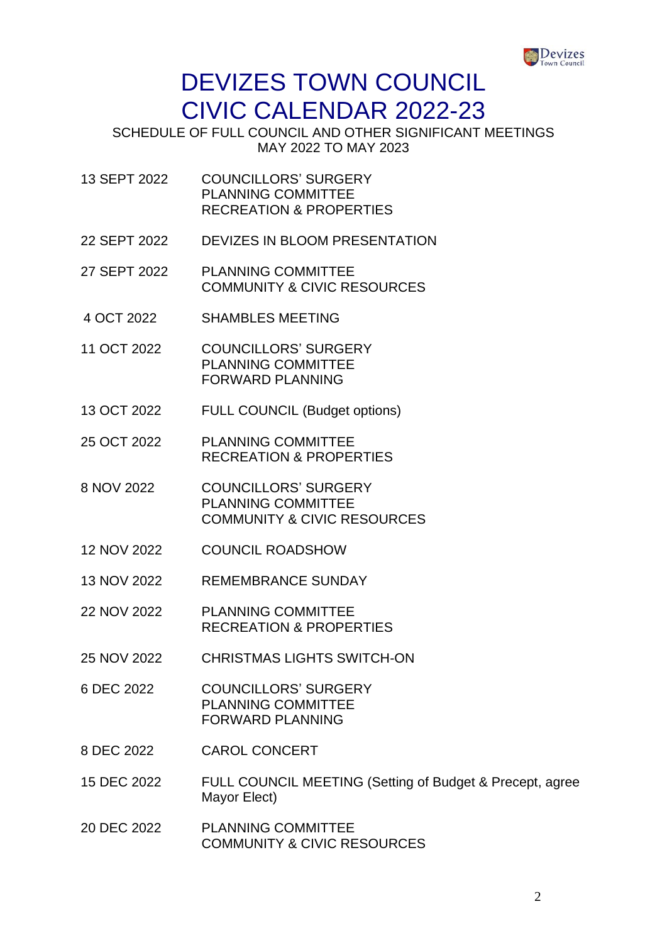

SCHEDULE OF FULL COUNCIL AND OTHER SIGNIFICANT MEETINGS MAY 2022 TO MAY 2023

- 13 SEPT 2022 COUNCILLORS' SURGERY PLANNING COMMITTEE RECREATION & PROPERTIES
- 22 SEPT 2022 DEVIZES IN BLOOM PRESENTATION
- 27 SEPT 2022 PLANNING COMMITTEE COMMUNITY & CIVIC RESOURCES
- 4 OCT 2022 SHAMBLES MEETING
- 11 OCT 2022 COUNCILLORS' SURGERY PLANNING COMMITTEE FORWARD PLANNING
- 13 OCT 2022 FULL COUNCIL (Budget options)
- 25 OCT 2022 PLANNING COMMITTEE RECREATION & PROPERTIES
- 8 NOV 2022 COUNCILLORS' SURGERY PLANNING COMMITTEE COMMUNITY & CIVIC RESOURCES
- 12 NOV 2022 COUNCIL ROADSHOW
- 13 NOV 2022 REMEMBRANCE SUNDAY
- 22 NOV 2022 PLANNING COMMITTEE RECREATION & PROPERTIES
- 25 NOV 2022 CHRISTMAS LIGHTS SWITCH-ON
- 6 DEC 2022 COUNCILLORS' SURGERY PLANNING COMMITTEE FORWARD PLANNING
- 8 DEC 2022 CAROL CONCERT
- 15 DEC 2022 FULL COUNCIL MEETING (Setting of Budget & Precept, agree Mayor Elect)
- 20 DEC 2022 PLANNING COMMITTEE COMMUNITY & CIVIC RESOURCES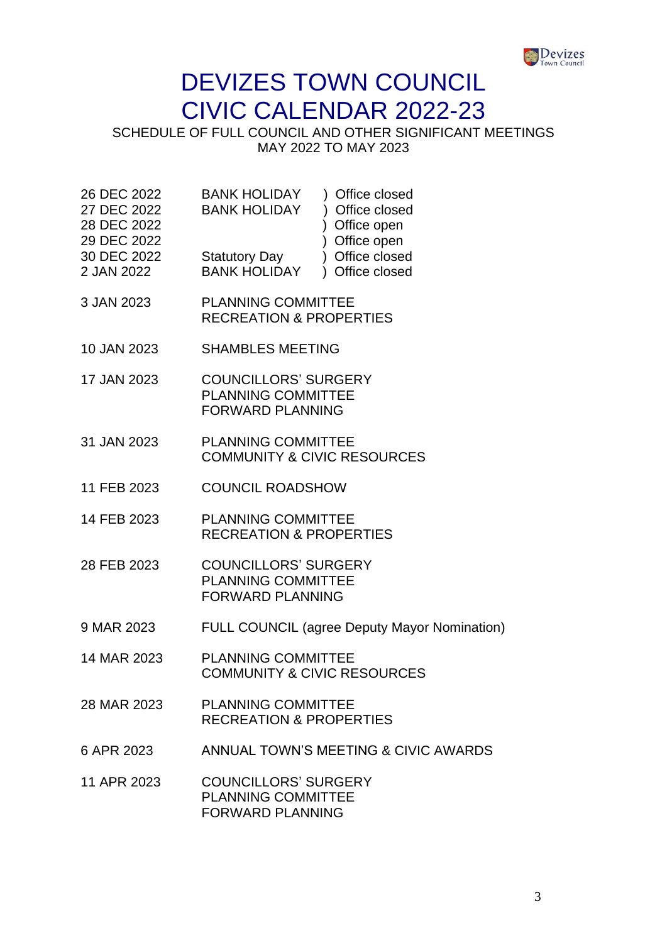

SCHEDULE OF FULL COUNCIL AND OTHER SIGNIFICANT MEETINGS MAY 2022 TO MAY 2023

| 26 DEC 2022 | <b>BANK HOLIDAY</b>  | ) Office closed |
|-------------|----------------------|-----------------|
| 27 DEC 2022 | <b>BANK HOLIDAY</b>  | ) Office closed |
| 28 DEC 2022 |                      | ) Office open   |
| 29 DEC 2022 |                      | ) Office open   |
| 30 DEC 2022 | <b>Statutory Day</b> | ) Office closed |
| 2 JAN 2022  | <b>BANK HOLIDAY</b>  | ) Office closed |
|             |                      |                 |

- 3 JAN 2023 PLANNING COMMITTEE RECREATION & PROPERTIES
- 10 JAN 2023 SHAMBLES MEETING
- 17 JAN 2023 COUNCILLORS' SURGERY PLANNING COMMITTEE FORWARD PLANNING
- 31 JAN 2023 PLANNING COMMITTEE COMMUNITY & CIVIC RESOURCES
- 11 FEB 2023 COUNCIL ROADSHOW
- 14 FEB 2023 PLANNING COMMITTEE RECREATION & PROPERTIES
- 28 FEB 2023 COUNCILLORS' SURGERY PLANNING COMMITTEE FORWARD PLANNING
- 9 MAR 2023 FULL COUNCIL (agree Deputy Mayor Nomination)
- 14 MAR 2023 PLANNING COMMITTEE COMMUNITY & CIVIC RESOURCES
- 28 MAR 2023 PLANNING COMMITTEE RECREATION & PROPERTIES
- 6 APR 2023 ANNUAL TOWN'S MEETING & CIVIC AWARDS
- 11 APR 2023 COUNCILLORS' SURGERY PLANNING COMMITTEE FORWARD PLANNING